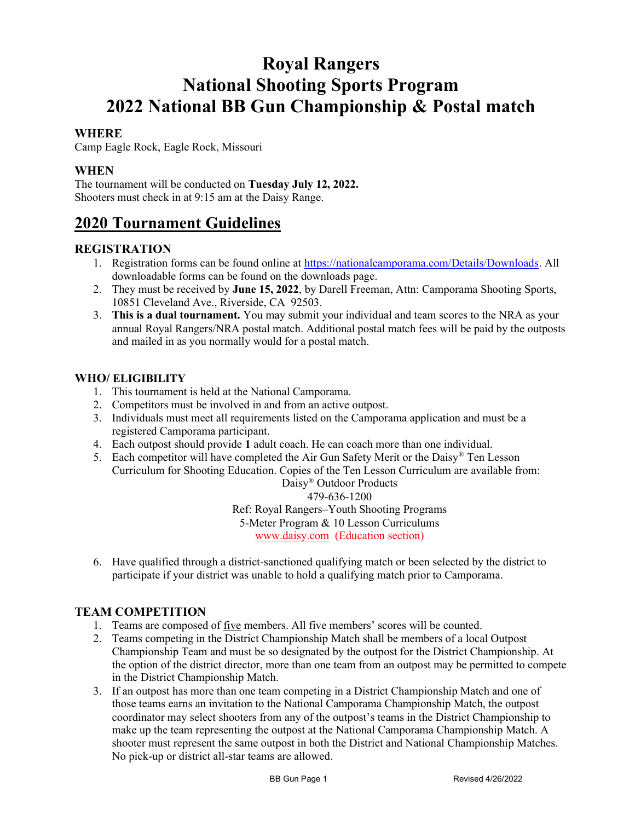# Royal Rangers National Shooting Sports Program 2022 National BB Gun Championship & Postal match

#### **WHERE**

Camp Eagle Rock, Eagle Rock, Missouri

### WHEN

The tournament will be conducted on Tuesday July 12, 2022. Shooters must check in at 9:15 am at the Daisy Range.

## 2020 Tournament Guidelines

#### REGISTRATION

- 1. Registration forms can be found online at https://nationalcamporama.com/Details/Downloads. All downloadable forms can be found on the downloads page.
- 2. They must be received by June 15, 2022, by Darell Freeman, Attn: Camporama Shooting Sports, 10851 Cleveland Ave., Riverside, CA 92503.
- 3. This is a dual tournament. You may submit your individual and team scores to the NRA as your annual Royal Rangers/NRA postal match. Additional postal match fees will be paid by the outposts and mailed in as you normally would for a postal match.

#### WHO/ ELIGIBILITY

- 1. This tournament is held at the National Camporama.
- 2. Competitors must be involved in and from an active outpost.
- 3. Individuals must meet all requirements listed on the Camporama application and must be a registered Camporama participant.
- 4. Each outpost should provide 1 adult coach. He can coach more than one individual.
- 5. Each competitor will have completed the Air Gun Safety Merit or the Daisy® Ten Lesson Curriculum for Shooting Education. Copies of the Ten Lesson Curriculum are available from:

Daisy® Outdoor Products

## 479-636-1200

Ref: Royal Rangers–Youth Shooting Programs

5-Meter Program & 10 Lesson Curriculums

www.daisy.com (Education section)

6. Have qualified through a district-sanctioned qualifying match or been selected by the district to participate if your district was unable to hold a qualifying match prior to Camporama.

## TEAM COMPETITION

- 1. Teams are composed of five members. All five members' scores will be counted.
- 2. Teams competing in the District Championship Match shall be members of a local Outpost Championship Team and must be so designated by the outpost for the District Championship. At the option of the district director, more than one team from an outpost may be permitted to compete in the District Championship Match.
- 3. If an outpost has more than one team competing in a District Championship Match and one of those teams earns an invitation to the National Camporama Championship Match, the outpost coordinator may select shooters from any of the outpost's teams in the District Championship to make up the team representing the outpost at the National Camporama Championship Match. A shooter must represent the same outpost in both the District and National Championship Matches. No pick-up or district all-star teams are allowed.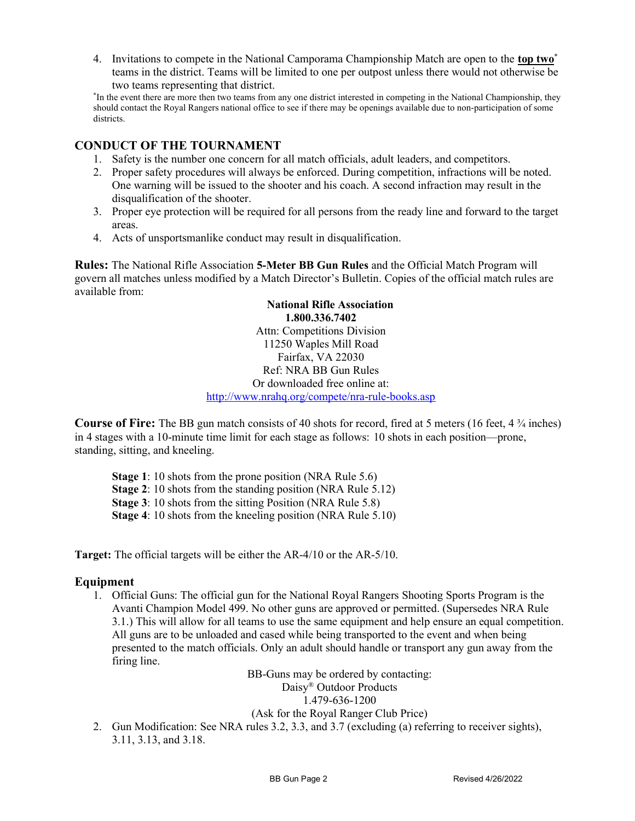4. Invitations to compete in the National Camporama Championship Match are open to the top two<sup>\*</sup> teams in the district. Teams will be limited to one per outpost unless there would not otherwise be two teams representing that district.

\* In the event there are more then two teams from any one district interested in competing in the National Championship, they should contact the Royal Rangers national office to see if there may be openings available due to non-participation of some districts.

## CONDUCT OF THE TOURNAMENT

- 1. Safety is the number one concern for all match officials, adult leaders, and competitors.
- 2. Proper safety procedures will always be enforced. During competition, infractions will be noted. One warning will be issued to the shooter and his coach. A second infraction may result in the disqualification of the shooter.
- 3. Proper eye protection will be required for all persons from the ready line and forward to the target areas.
- 4. Acts of unsportsmanlike conduct may result in disqualification.

Rules: The National Rifle Association 5-Meter BB Gun Rules and the Official Match Program will govern all matches unless modified by a Match Director's Bulletin. Copies of the official match rules are available from:

> National Rifle Association 1.800.336.7402 Attn: Competitions Division 11250 Waples Mill Road Fairfax, VA 22030 Ref: NRA BB Gun Rules Or downloaded free online at: http://www.nrahq.org/compete/nra-rule-books.asp

**Course of Fire:** The BB gun match consists of 40 shots for record, fired at 5 meters (16 feet,  $4\frac{3}{4}$  inches) in 4 stages with a 10-minute time limit for each stage as follows: 10 shots in each position—prone, standing, sitting, and kneeling.

Stage 1: 10 shots from the prone position (NRA Rule 5.6)

Stage 2: 10 shots from the standing position (NRA Rule 5.12)

Stage 3: 10 shots from the sitting Position (NRA Rule 5.8)

Stage 4: 10 shots from the kneeling position (NRA Rule 5.10)

Target: The official targets will be either the AR-4/10 or the AR-5/10.

#### Equipment

1. Official Guns: The official gun for the National Royal Rangers Shooting Sports Program is the Avanti Champion Model 499. No other guns are approved or permitted. (Supersedes NRA Rule 3.1.) This will allow for all teams to use the same equipment and help ensure an equal competition. All guns are to be unloaded and cased while being transported to the event and when being presented to the match officials. Only an adult should handle or transport any gun away from the firing line.

BB-Guns may be ordered by contacting: Daisy® Outdoor Products 1.479-636-1200

#### (Ask for the Royal Ranger Club Price)

2. Gun Modification: See NRA rules 3.2, 3.3, and 3.7 (excluding (a) referring to receiver sights), 3.11, 3.13, and 3.18.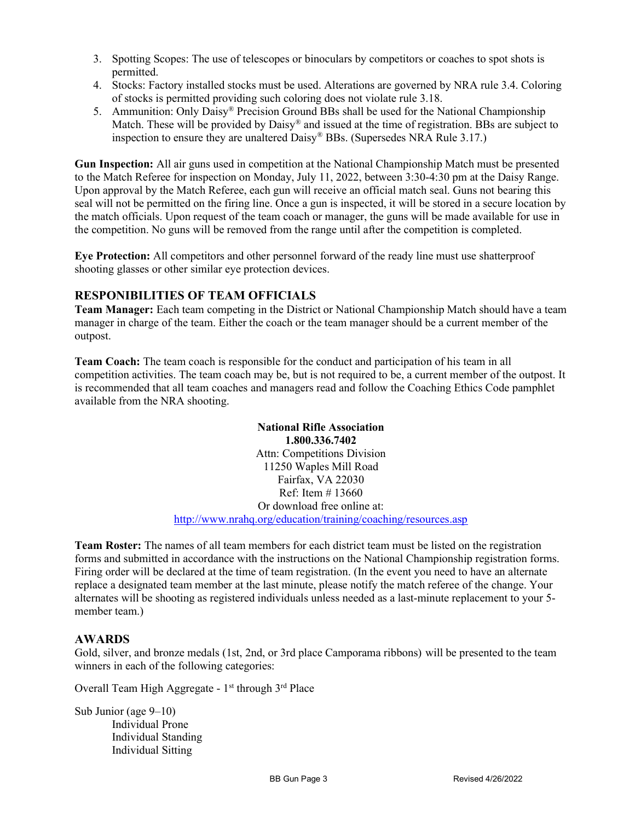- 3. Spotting Scopes: The use of telescopes or binoculars by competitors or coaches to spot shots is permitted.
- 4. Stocks: Factory installed stocks must be used. Alterations are governed by NRA rule 3.4. Coloring of stocks is permitted providing such coloring does not violate rule 3.18.
- 5. Ammunition: Only Daisy® Precision Ground BBs shall be used for the National Championship Match. These will be provided by Daisy® and issued at the time of registration. BBs are subject to inspection to ensure they are unaltered Daisy® BBs. (Supersedes NRA Rule 3.17.)

Gun Inspection: All air guns used in competition at the National Championship Match must be presented to the Match Referee for inspection on Monday, July 11, 2022, between 3:30-4:30 pm at the Daisy Range. Upon approval by the Match Referee, each gun will receive an official match seal. Guns not bearing this seal will not be permitted on the firing line. Once a gun is inspected, it will be stored in a secure location by the match officials. Upon request of the team coach or manager, the guns will be made available for use in the competition. No guns will be removed from the range until after the competition is completed.

Eye Protection: All competitors and other personnel forward of the ready line must use shatterproof shooting glasses or other similar eye protection devices.

#### RESPONIBILITIES OF TEAM OFFICIALS

Team Manager: Each team competing in the District or National Championship Match should have a team manager in charge of the team. Either the coach or the team manager should be a current member of the outpost.

Team Coach: The team coach is responsible for the conduct and participation of his team in all competition activities. The team coach may be, but is not required to be, a current member of the outpost. It is recommended that all team coaches and managers read and follow the Coaching Ethics Code pamphlet available from the NRA shooting.

> National Rifle Association 1.800.336.7402 Attn: Competitions Division 11250 Waples Mill Road Fairfax, VA 22030 Ref: Item # 13660 Or download free online at: http://www.nrahq.org/education/training/coaching/resources.asp

Team Roster: The names of all team members for each district team must be listed on the registration forms and submitted in accordance with the instructions on the National Championship registration forms. Firing order will be declared at the time of team registration. (In the event you need to have an alternate replace a designated team member at the last minute, please notify the match referee of the change. Your alternates will be shooting as registered individuals unless needed as a last-minute replacement to your 5 member team.)

#### AWARDS

Gold, silver, and bronze medals (1st, 2nd, or 3rd place Camporama ribbons) will be presented to the team winners in each of the following categories:

Overall Team High Aggregate -  $1<sup>st</sup>$  through  $3<sup>rd</sup>$  Place

Sub Junior (age 9–10) Individual Prone Individual Standing Individual Sitting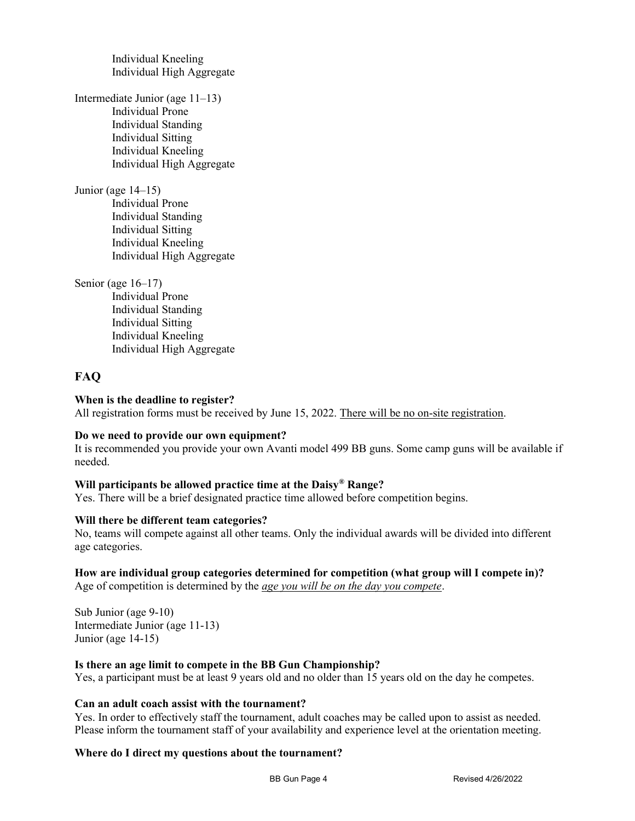Individual Kneeling Individual High Aggregate

Intermediate Junior (age 11–13) Individual Prone Individual Standing Individual Sitting Individual Kneeling Individual High Aggregate

Junior (age 14–15)

Individual Prone Individual Standing Individual Sitting Individual Kneeling Individual High Aggregate

Senior (age 16–17)

Individual Prone Individual Standing Individual Sitting Individual Kneeling Individual High Aggregate

## FAQ

#### When is the deadline to register?

All registration forms must be received by June 15, 2022. There will be no on-site registration.

#### Do we need to provide our own equipment?

It is recommended you provide your own Avanti model 499 BB guns. Some camp guns will be available if needed.

#### Will participants be allowed practice time at the Daisy® Range?

Yes. There will be a brief designated practice time allowed before competition begins.

#### Will there be different team categories?

No, teams will compete against all other teams. Only the individual awards will be divided into different age categories.

#### How are individual group categories determined for competition (what group will I compete in)?

Age of competition is determined by the *age you will be on the day you compete*.

Sub Junior (age 9-10) Intermediate Junior (age 11-13) Junior (age 14-15)

#### Is there an age limit to compete in the BB Gun Championship?

Yes, a participant must be at least 9 years old and no older than 15 years old on the day he competes.

#### Can an adult coach assist with the tournament?

Yes. In order to effectively staff the tournament, adult coaches may be called upon to assist as needed. Please inform the tournament staff of your availability and experience level at the orientation meeting.

#### Where do I direct my questions about the tournament?